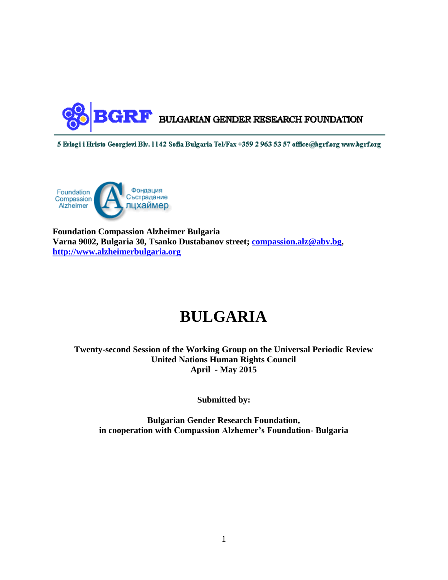

5 Evlogi i Hristo Georgievi Blv. 1142 Sofia Bulgaria Tel/Fax +359 2 963 53 57 office@bgrf.org www.bgrf.org



**Foundation Compassion Alzheimer Bulgaria Varna 9002, Bulgaria 30, Tsanko Dustabanov street; [compassion.alz@abv.bg,](mailto:compassion.alz@abv.bg) [http://www.alzheimerbulgaria.org](http://www.alzheimerbulgaria.org/)**

# **BULGARIA**

**Twenty-second Session of the Working Group on the Universal Periodic Review United Nations Human Rights Council April - May 2015**

**Submitted by:**

**Bulgarian Gender Research Foundation, in cooperation with Compassion Alzhemer's Foundation- Bulgaria**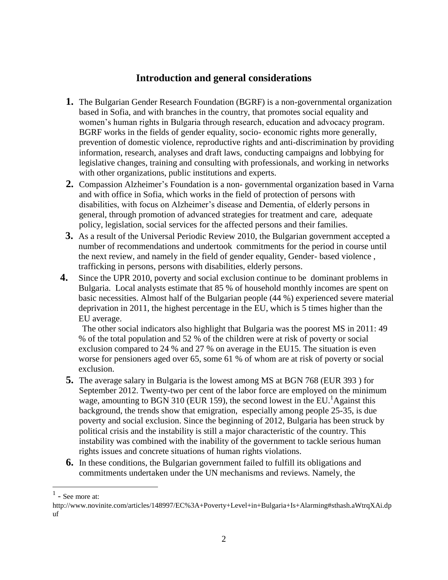# **Introduction and general considerations**

- **1.** The Bulgarian Gender Research Foundation (BGRF) is a non-governmental organization based in Sofia, and with branches in the country, that promotes social equality and women's human rights in Bulgaria through research, education and advocacy program. BGRF works in the fields of gender equality, socio- economic rights more generally, prevention of domestic violence, reproductive rights and anti-discrimination by providing information, research, analyses and draft laws, conducting campaigns and lobbying for legislative changes, training and consulting with professionals, and working in networks with other organizations, public institutions and experts.
- **2.** Compassion Alzheimer's Foundation is a non- governmental organization based in Varna and with office in Sofia, which works in the field of protection of persons with disabilities, with focus on Alzheimer's disease and Dementia, of elderly persons in general, through promotion of advanced strategies for treatment and care, adequate policy, legislation, social services for the affected persons and their families.
- **3.** As a result of the Universal Periodic Review 2010, the Bulgarian government accepted a number of recommendations and undertook commitments for the period in course until the next review, and namely in the field of gender equality, Gender- based violence , trafficking in persons, persons with disabilities, elderly persons.
- **4.** Since the UPR 2010, poverty and social exclusion continue to be dominant problems in Bulgaria. Local analysts estimate that 85 % of household monthly incomes are spent on basic necessities. Almost half of the Bulgarian people (44 %) experienced severe material deprivation in 2011, the highest percentage in the EU, which is 5 times higher than the EU average.

 The other social indicators also highlight that Bulgaria was the poorest MS in 2011: 49 % of the total population and 52 % of the children were at risk of poverty or social exclusion compared to 24 % and 27 % on average in the EU15. The situation is even worse for pensioners aged over 65, some 61 % of whom are at risk of poverty or social exclusion.

- **5.** The average salary in Bulgaria is the lowest among MS at BGN 768 (EUR 393 ) for September 2012. Twenty-two per cent of the labor force are employed on the minimum wage, amounting to BGN 310 (EUR 159), the second lowest in the EU.<sup>1</sup>Against this background, the trends show that emigration, especially among people 25-35, is due poverty and social exclusion. Since the beginning of 2012, Bulgaria has been struck by political crisis and the instability is still a major characteristic of the country. This instability was combined with the inability of the government to tackle serious human rights issues and concrete situations of human rights violations.
- **6.** In these conditions, the Bulgarian government failed to fulfill its obligations and commitments undertaken under the UN mechanisms and reviews. Namely, the

 $<sup>1</sup>$  - See more at:</sup>

http://www.novinite.com/articles/148997/EC%3A+Poverty+Level+in+Bulgaria+Is+Alarming#sthash.aWtrqXAi.dp uf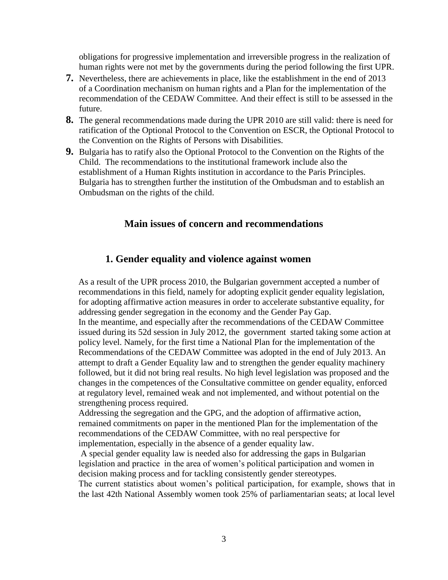obligations for progressive implementation and irreversible progress in the realization of human rights were not met by the governments during the period following the first UPR.

- **7.** Nevertheless, there are achievements in place, like the establishment in the end of 2013 of a Coordination mechanism on human rights and a Plan for the implementation of the recommendation of the CEDAW Committee. And their effect is still to be assessed in the future.
- **8.** The general recommendations made during the UPR 2010 are still valid: there is need for ratification of the Optional Protocol to the Convention on ESCR, the Optional Protocol to the Convention on the Rights of Persons with Disabilities.
- **9.** Bulgaria has to ratify also the Optional Protocol to the Convention on the Rights of the Child. The recommendations to the institutional framework include also the establishment of a Human Rights institution in accordance to the Paris Principles. Bulgaria has to strengthen further the institution of the Ombudsman and to establish an Ombudsman on the rights of the child.

## **Main issues of concern and recommendations**

#### **1. Gender equality and violence against women**

As a result of the UPR process 2010, the Bulgarian government accepted a number of recommendations in this field, namely for adopting explicit gender equality legislation, for adopting affirmative action measures in order to accelerate substantive equality, for addressing gender segregation in the economy and the Gender Pay Gap. In the meantime, and especially after the recommendations of the CEDAW Committee issued during its 52d session in July 2012, the government started taking some action at policy level. Namely, for the first time a National Plan for the implementation of the Recommendations of the CEDAW Committee was adopted in the end of July 2013. An attempt to draft a Gender Equality law and to strengthen the gender equality machinery followed, but it did not bring real results. No high level legislation was proposed and the changes in the competences of the Consultative committee on gender equality, enforced at regulatory level, remained weak and not implemented, and without potential on the strengthening process required.

Addressing the segregation and the GPG, and the adoption of affirmative action, remained commitments on paper in the mentioned Plan for the implementation of the recommendations of the CEDAW Committee, with no real perspective for implementation, especially in the absence of a gender equality law.

A special gender equality law is needed also for addressing the gaps in Bulgarian legislation and practice in the area of women's political participation and women in decision making process and for tackling consistently gender stereotypes.

The current statistics about women's political participation, for example, shows that in the last 42th National Assembly women took 25% of parliamentarian seats; at local level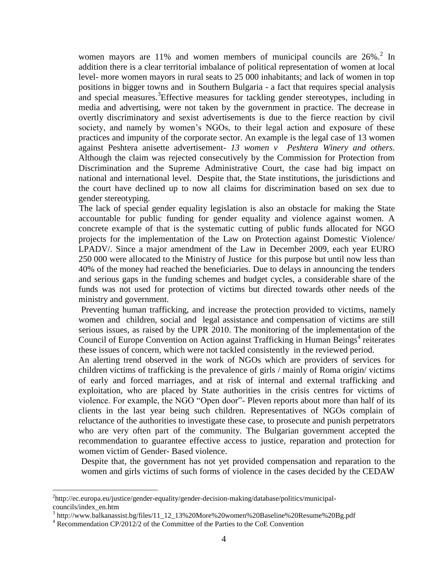women mayors are 11% and women members of municipal councils are  $26\%$ <sup>2</sup>. In addition there is a clear territorial imbalance of political representation of women at local level- more women mayors in rural seats to 25 000 inhabitants; and lack of women in top positions in bigger towns and in Southern Bulgaria - a fact that requires special analysis and special measures.<sup>3</sup>Effective measures for tackling gender stereotypes, including in media and advertising, were not taken by the government in practice. The decrease in overtly discriminatory and sexist advertisements is due to the fierce reaction by civil society, and namely by women's NGOs, to their legal action and exposure of these practices and impunity of the corporate sector. An example is the legal case of 13 women against Peshtera anisette advertisement- *13 women v Peshtera Winery and others.* Although the claim was rejected consecutively by the Commission for Protection from Discrimination and the Supreme Administrative Court, the case had big impact on national and international level. Despite that, the State institutions, the jurisdictions and the court have declined up to now all claims for discrimination based on sex due to gender stereotyping.

The lack of special gender equality legislation is also an obstacle for making the State accountable for public funding for gender equality and violence against women. A concrete example of that is the systematic cutting of public funds allocated for NGO projects for the implementation of the Law on Protection against Domestic Violence/ LPADV/. Since a major amendment of the Law in December 2009, each year EURO 250 000 were allocated to the Ministry of Justice for this purpose but until now less than 40% of the money had reached the beneficiaries. Due to delays in announcing the tenders and serious gaps in the funding schemes and budget cycles, a considerable share of the funds was not used for protection of victims but directed towards other needs of the ministry and government.

Preventing human trafficking, and increase the protection provided to victims, namely women and children, social and legal assistance and compensation of victims are still serious issues, as raised by the UPR 2010. The monitoring of the implementation of the Council of Europe Convention on Action against Trafficking in Human Beings<sup>4</sup> reiterates these issues of concern, which were not tackled consistently in the reviewed period.

An alerting trend observed in the work of NGOs which are providers of services for children victims of trafficking is the prevalence of girls / mainly of Roma origin/ victims of early and forced marriages, and at risk of internal and external trafficking and exploitation, who are placed by State authorities in the crisis centres for victims of violence. For example, the NGO "Open door"- Pleven reports about more than half of its clients in the last year being such children. Representatives of NGOs complain of reluctance of the authorities to investigate these case, to prosecute and punish perpetrators who are very often part of the community. The Bulgarian government accepted the recommendation to guarantee effective access to justice, reparation and protection for women victim of Gender- Based violence.

Despite that, the government has not yet provided compensation and reparation to the women and girls victims of such forms of violence in the cases decided by the CEDAW

<sup>&</sup>lt;sup>2</sup>http://ec.europa.eu/justice/gender-equality/gender-decision-making/database/politics/municipalcouncils/index\_en.htm

<sup>&</sup>lt;sup>3</sup> http://www.balkanassist.bg/files/11\_12\_13%20More%20women%20Baseline%20Resume%20Bg.pdf

<sup>&</sup>lt;sup>4</sup> Recommendation CP/2012/2 of the Committee of the Parties to the CoE Convention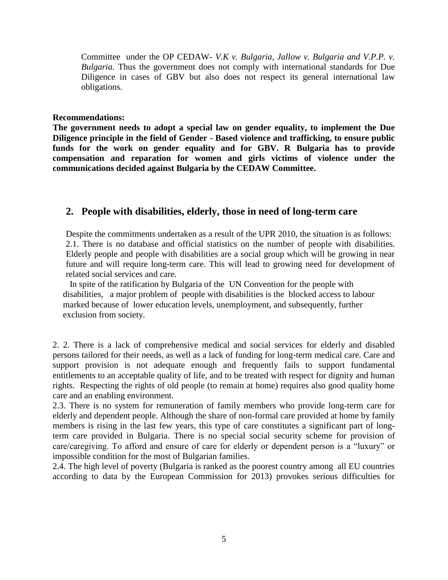Committee under the OP CEDAW- *V.K v. Bulgaria, Jallow v. Bulgaria and V.P.P. v. Bulgaria.* Thus the government does not comply with international standards for Due Diligence in cases of GBV but also does not respect its general international law obligations.

#### **Recommendations:**

**The government needs to adopt a special law on gender equality, to implement the Due Diligence principle in the field of Gender - Based violence and trafficking, to ensure public funds for the work on gender equality and for GBV. R Bulgaria has to provide compensation and reparation for women and girls victims of violence under the communications decided against Bulgaria by the CEDAW Committee.**

## **2. People with disabilities, elderly, those in need of long-term care**

 Despite the commitments undertaken as a result of the UPR 2010, the situation is as follows: 2.1. There is no database and official statistics on the number of people with disabilities. Elderly people and people with disabilities are a social group which will be growing in near future and will require long-term care. This will lead to growing need for development of related social services and care.

 In spite of the ratification by Bulgaria of the UN Convention for the people with disabilities, a major problem of people with disabilities is the blocked access to labour marked because of lower education levels, unemployment, and subsequently, further exclusion from society.

2. 2. There is a lack of comprehensive medical and social services for elderly and disabled persons tailored for their needs, as well as a lack of funding for long-term medical care. Care and support provision is not adequate enough and frequently fails to support fundamental entitlements to an acceptable quality of life, and to be treated with respect for dignity and human rights. Respecting the rights of old people (to remain at home) requires also good quality home care and an enabling environment.

2.3. There is no system for remuneration of family members who provide long-term care for elderly and dependent people. Although the share of non-formal care provided at home by family members is rising in the last few years, this type of care constitutes a significant part of longterm care provided in Bulgaria. There is no special social security scheme for provision of care/caregiving. To afford and ensure of care for elderly or dependent person is a "luxury" or impossible condition for the most of Bulgarian families.

2.4. The high level of poverty (Bulgaria is ranked as the poorest country among all EU countries according to data by the European Commission for 2013) provokes serious difficulties for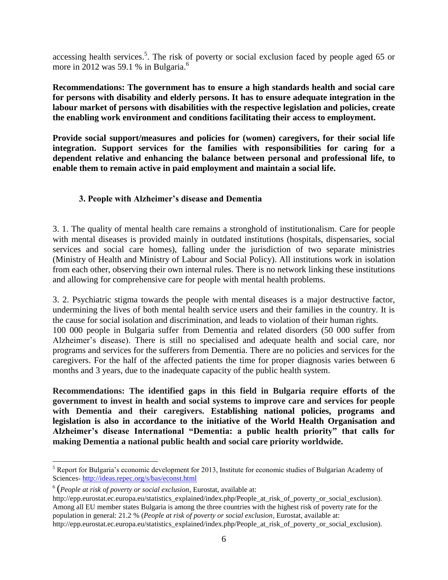accessing health services.<sup>5</sup>. The risk of poverty or social exclusion faced by people aged 65 or more in 2012 was 59.1 % in Bulgaria.<sup>6</sup>

**Recommendations: The government has to ensure a high standards health and social care for persons with disability and elderly persons. It has to ensure adequate integration in the labour market of persons with disabilities with the respective legislation and policies, create the enabling work environment and conditions facilitating their access to employment.**

**Provide social support/measures and policies for (women) caregivers, for their social life integration. Support services for the families with responsibilities for caring for a dependent relative and enhancing the balance between personal and professional life, to enable them to remain active in paid employment and maintain a social life.**

#### **3. People with Alzheimer's disease and Dementia**

3. 1. The quality of mental health care remains a stronghold of institutionalism. Care for people with mental diseases is provided mainly in outdated institutions (hospitals, dispensaries, social services and social care homes), falling under the jurisdiction of two separate ministries (Ministry of Health and Ministry of Labour and Social Policy). All institutions work in isolation from each other, observing their own internal rules. There is no network linking these institutions and allowing for comprehensive care for people with mental health problems.

3. 2. Psychiatric stigma towards the people with mental diseases is a major destructive factor, undermining the lives of both mental health service users and their families in the country. It is the cause for social isolation and discrimination, and leads to violation of their human rights. 100 000 people in Bulgaria suffer from Dementia and related disorders (50 000 suffer from Alzheimer's disease). There is still no specialised and adequate health and social care, nor programs and services for the sufferers from Dementia. There are no policies and services for the caregivers. For the half of the affected patients the time for proper diagnosis varies between 6 months and 3 years, due to the inadequate capacity of the public health system.

**Recommendations: The identified gaps in this field in Bulgaria require efforts of the government to invest in health and social systems to improve care and services for people with Dementia and their caregivers. Establishing national policies, programs and legislation is also in accordance to the initiative of the World Health Organisation and Alzheimer's disease International "Dementia: a public health priority" that calls for making Dementia a national public health and social care priority worldwide.** 

<sup>&</sup>lt;sup>5</sup> Report for Bulgaria's economic development for 2013, Institute for economic studies of Bulgarian Academy of Sciences- <http://ideas.repec.org/s/bas/econst.html>

<sup>6</sup> (*People at risk of poverty or social exclusion*, Eurostat, available at:

http://epp.eurostat.ec.europa.eu/statistics\_explained/index.php/People\_at\_risk\_of\_poverty\_or\_social\_exclusion). Among all EU member states Bulgaria is among the three countries with the highest risk of poverty rate for the population in general: 21.2 % (*People at risk of poverty or social exclusion*, Eurostat, available at: http://epp.eurostat.ec.europa.eu/statistics\_explained/index.php/People\_at\_risk\_of\_poverty\_or\_social\_exclusion).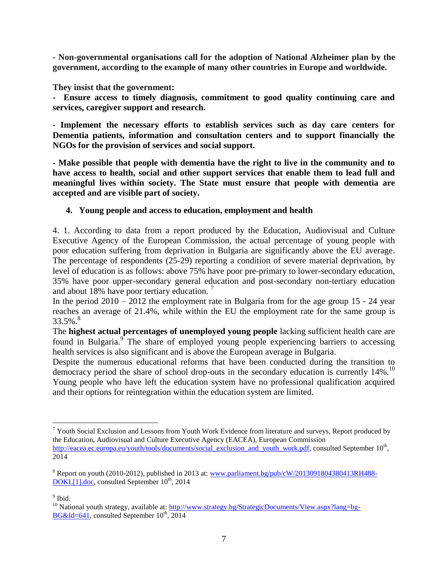**- Non-governmental organisations call for the adoption of National Alzheimer plan by the government, according to the example of many other countries in Europe and worldwide.**

**They insist that the government:**

**- Ensure access to timely diagnosis, commitment to good quality continuing care and services, caregiver support and research.**

**- Implement the necessary efforts to establish services such as day care centers for Dementia patients, information and consultation centers and to support financially the NGOs for the provision of services and social support.**

**- Make possible that people with dementia have the right to live in the community and to have access to health, social and other support services that enable them to lead full and meaningful lives within society. The State must ensure that people with dementia are accepted and are visible part of society.**

## **4. Young people and access to education, employment and health**

4. 1. According to data from a report produced by the Education, Audiovisual and Culture Executive Agency of the European Commission, the actual percentage of young people with poor education suffering from deprivation in Bulgaria are significantly above the EU average. The percentage of respondents (25-29) reporting a condition of severe material deprivation, by level of education is as follows: above 75% have poor pre-primary to lower-secondary education, 35% have poor upper-secondary general education and post-secondary non-tertiary education and about 18% have poor tertiary education.<sup>7</sup>

In the period  $2010 - 2012$  the employment rate in Bulgaria from for the age group 15 - 24 year reaches an average of 21.4%, while within the EU the employment rate for the same group is 33.5%. $8$ 

The **highest actual percentages of unemployed young people** lacking sufficient health care are found in Bulgaria.<sup>9</sup> The share of employed young people experiencing barriers to accessing health services is also significant and is above the European average in Bulgaria.

Despite the numerous educational reforms that have been conducted during the transition to democracy period the share of school drop-outs in the secondary education is currently 14%.<sup>10</sup> Young people who have left the education system have no professional qualification acquired and their options for reintegration within the education system are limited.

<sup>&</sup>lt;sup>7</sup> Youth Social Exclusion and Lessons from Youth Work Evidence from literature and surveys, Report produced by the Education, Audiovisual and Culture Executive Agency (EACEA), European Commission [http://eacea.ec.europa.eu/youth/tools/documents/social\\_exclusion\\_and\\_youth\\_work.pdf,](http://eacea.ec.europa.eu/youth/tools/documents/social_exclusion_and_youth_work.pdf) consulted September 10<sup>th</sup>, 2014

<sup>&</sup>lt;sup>8</sup> Report on youth (2010-2012), published in 2013 at: [www.parliament.bg/pub/cW/2013091804380413RH488-](http://www.parliament.bg/pub/cW/2013091804380413RH488-DOKL%5b1%5d.doc)  $DOKL[1].doc$ , consulted September  $10<sup>th</sup>$ , 2014

<sup>&</sup>lt;sup>9</sup> Ibid.

<sup>&</sup>lt;sup>10</sup> National youth strategy, available at: [http://www.strategy.bg/StrategicDocuments/View.aspx?lang=bg-](http://www.strategy.bg/StrategicDocuments/View.aspx?lang=bg-BG&Id=641) $BG&Id=641$ , consulted September 10<sup>th</sup>, 2014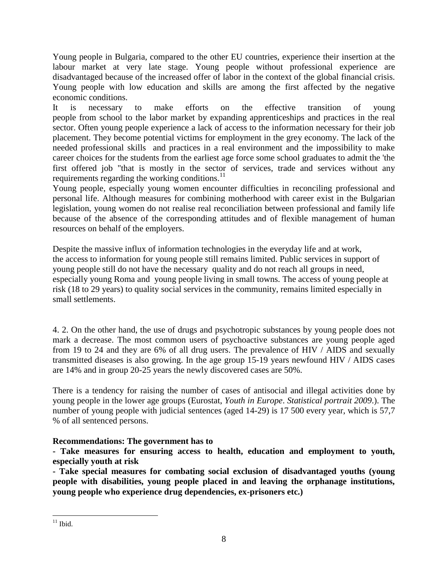Young people in Bulgaria, compared to the other EU countries, experience their insertion at the labour market at very late stage. Young people without professional experience are disadvantaged because of the increased offer of labor in the context of the global financial crisis. Young people with low education and skills are among the first affected by the negative economic conditions.

It is necessary to make efforts on the effective transition of young people from school to the labor market by expanding apprenticeships and practices in the real sector. Often young people experience a lack of access to the information necessary for their job placement. They become potential victims for employment in the grey economy. The lack of the needed professional skills and practices in a real environment and the impossibility to make career choices for the students from the earliest age force some school graduates to admit the 'the first offered job "that is mostly in the sector of services, trade and services without any requirements regarding the working conditions. $^{11}$ 

Young people, especially young women encounter difficulties in reconciling professional and personal life. Although measures for combining motherhood with career exist in the Bulgarian legislation, young women do not realise real reconciliation between professional and family life because of the absence of the corresponding attitudes and of flexible management of human resources on behalf of the employers.

Despite the massive influx of information technologies in the everyday life and at work, the access to information for young people still remains limited. Public services in support of young people still do not have the necessary quality and do not reach all groups in need, especially young Roma and young people living in small towns. The access of young people at risk (18 to 29 years) to quality social services in the community, remains limited especially in small settlements.

4. 2. On the other hand, the use of drugs and psychotropic substances by young people does not mark a decrease. The most common users of psychoactive substances are young people aged from 19 to 24 and they are 6% of all drug users. The prevalence of HIV / AIDS and sexually transmitted diseases is also growing. In the age group 15-19 years newfound HIV / AIDS cases are 14% and in group 20-25 years the newly discovered cases are 50%.

There is a tendency for raising the number of cases of antisocial and illegal activities done by young people in the lower age groups (Eurostat, *Youth in Europe*. *Statistical portrait 2009*.). The number of young people with judicial sentences (aged 14-29) is 17 500 every year, which is 57,7 % of all sentenced persons.

## **Recommendations: The government has to**

**- Take measures for ensuring access to health, education and employment to youth, especially youth at risk**

**- Take special measures for combating social exclusion of disadvantaged youths (young people with disabilities, young people placed in and leaving the orphanage institutions, young people who experience drug dependencies, ex-prisoners etc.)**

 $\overline{a}$  $11$  Ibid.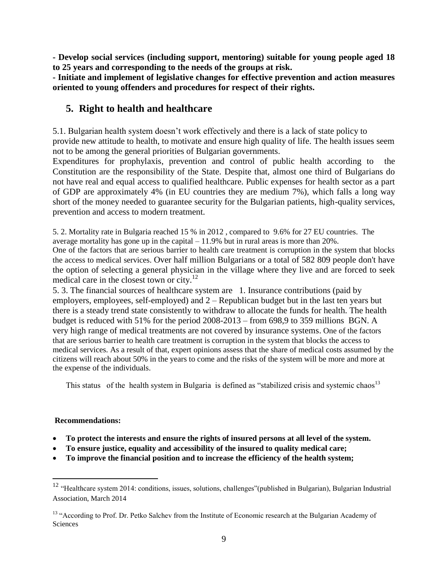**- Develop social services (including support, mentoring) suitable for young people aged 18 to 25 years and corresponding to the needs of the groups at risk.**

**- Initiate and implement of legislative changes for effective prevention and action measures oriented to young offenders and procedures for respect of their rights.** 

# **5. Right to health and healthcare**

5.1. Bulgarian health system doesn't work effectively and there is a lack of state policy to provide new attitude to health, to motivate and ensure high quality of life. The health issues seem not to be among the general priorities of Bulgarian governments.

Expenditures for prophylaxis, prevention and control of public health according to the Constitution are the responsibility of the State. Despite that, almost one third of Bulgarians do not have real and equal access to qualified healthcare. Public expenses for health sector as a part of GDP are approximately 4% (in EU countries they are medium 7%), which falls a long way short of the money needed to guarantee security for the Bulgarian patients, high-quality services, prevention and access to modern treatment.

5. 2. Mortality rate in Bulgaria reached 15 % in 2012 , compared to 9.6% for 27 EU countries. The average mortality has gone up in the capital  $-11.9\%$  but in rural areas is more than 20%. One of the factors that are serious barrier to health care treatment is corruption in the system that blocks the access to medical services. Over half million Bulgarians or a total of 582 809 people don't have the option of selecting a general physician in the village where they live and are forced to seek medical care in the closest town or city.<sup>12</sup>

5. 3. The financial sources of healthcare system are 1. Insurance contributions (paid by employers, employees, self-employed) and 2 – Republican budget but in the last ten years but there is a steady trend state consistently to withdraw to allocate the funds for health. The health budget is reduced with 51% for the period 2008-2013 – from 698,9 to 359 millions BGN. A very high range of medical treatments are not covered by insurance systems. One of the factors that are serious barrier to health care treatment is corruption in the system that blocks the access to medical services. As a result of that, expert opinions assess that the share of medical costs assumed by the citizens will reach about 50% in the years to come and the risks of the system will be more and more at the expense of the individuals.

This status of the health system in Bulgaria is defined as "stabilized crisis and systemic chaos $13$ 

#### **Recommendations:**

- **To protect the interests and ensure the rights of insured persons at all level of the system.**
- **To ensure justice, equality and accessibility of the insured to quality medical care;**
- **To improve the financial position and to increase the efficiency of the health system;**

<sup>&</sup>lt;sup>12</sup> "Healthcare system 2014: conditions, issues, solutions, challenges"(published in Bulgarian), Bulgarian Industrial Association, March 2014

<sup>&</sup>lt;sup>13</sup> "According to Prof. Dr. Petko Salchev from the Institute of Economic research at the Bulgarian Academy of **Sciences**